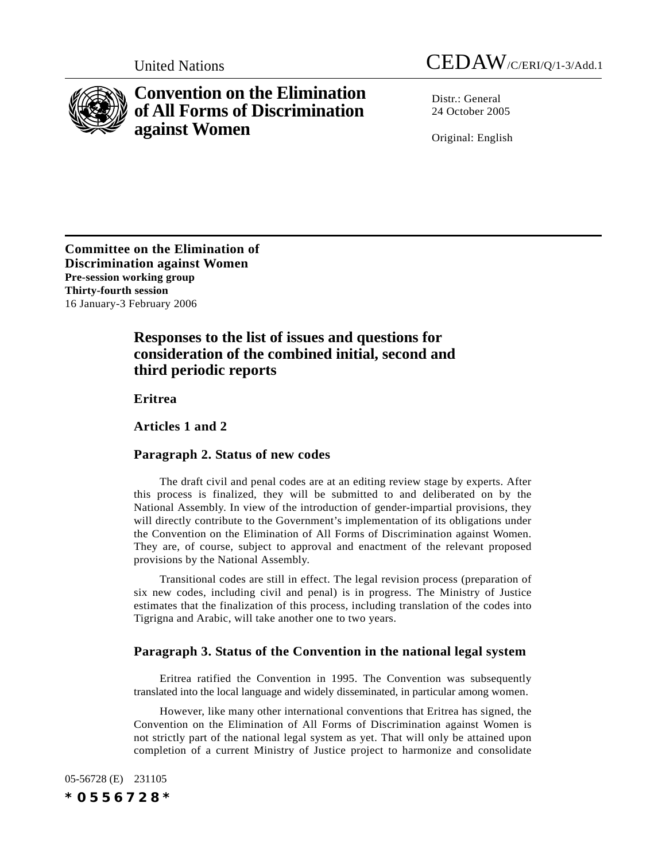



# **Convention on the Elimination of All Forms of Discrimination against Women**

Distr · General 24 October 2005

Original: English

**Committee on the Elimination of Discrimination against Women Pre-session working group Thirty-fourth session** 16 January-3 February 2006

# **Responses to the list of issues and questions for consideration of the combined initial, second and third periodic reports**

**Eritrea**

**Articles 1 and 2**

### **Paragraph 2. Status of new codes**

The draft civil and penal codes are at an editing review stage by experts. After this process is finalized, they will be submitted to and deliberated on by the National Assembly. In view of the introduction of gender-impartial provisions, they will directly contribute to the Government's implementation of its obligations under the Convention on the Elimination of All Forms of Discrimination against Women. They are, of course, subject to approval and enactment of the relevant proposed provisions by the National Assembly.

Transitional codes are still in effect. The legal revision process (preparation of six new codes, including civil and penal) is in progress. The Ministry of Justice estimates that the finalization of this process, including translation of the codes into Tigrigna and Arabic, will take another one to two years.

### **Paragraph 3. Status of the Convention in the national legal system**

Eritrea ratified the Convention in 1995. The Convention was subsequently translated into the local language and widely disseminated, in particular among women.

However, like many other international conventions that Eritrea has signed, the Convention on the Elimination of All Forms of Discrimination against Women is not strictly part of the national legal system as yet. That will only be attained upon completion of a current Ministry of Justice project to harmonize and consolidate

05-56728 (E) 231105 *\*0556728\**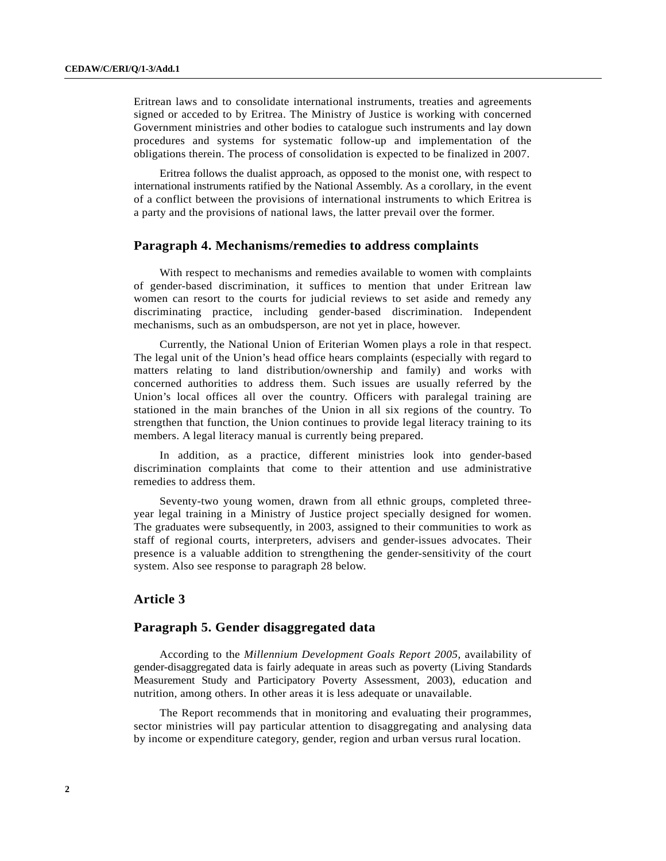Eritrean laws and to consolidate international instruments, treaties and agreements signed or acceded to by Eritrea. The Ministry of Justice is working with concerned Government ministries and other bodies to catalogue such instruments and lay down procedures and systems for systematic follow-up and implementation of the obligations therein. The process of consolidation is expected to be finalized in 2007.

Eritrea follows the dualist approach, as opposed to the monist one, with respect to international instruments ratified by the National Assembly. As a corollary, in the event of a conflict between the provisions of international instruments to which Eritrea is a party and the provisions of national laws, the latter prevail over the former.

#### **Paragraph 4. Mechanisms/remedies to address complaints**

With respect to mechanisms and remedies available to women with complaints of gender-based discrimination, it suffices to mention that under Eritrean law women can resort to the courts for judicial reviews to set aside and remedy any discriminating practice, including gender-based discrimination. Independent mechanisms, such as an ombudsperson, are not yet in place, however.

Currently, the National Union of Eriterian Women plays a role in that respect. The legal unit of the Union's head office hears complaints (especially with regard to matters relating to land distribution/ownership and family) and works with concerned authorities to address them. Such issues are usually referred by the Union's local offices all over the country. Officers with paralegal training are stationed in the main branches of the Union in all six regions of the country. To strengthen that function, the Union continues to provide legal literacy training to its members. A legal literacy manual is currently being prepared.

In addition, as a practice, different ministries look into gender-based discrimination complaints that come to their attention and use administrative remedies to address them.

Seventy-two young women, drawn from all ethnic groups, completed threeyear legal training in a Ministry of Justice project specially designed for women. The graduates were subsequently, in 2003, assigned to their communities to work as staff of regional courts, interpreters, advisers and gender-issues advocates. Their presence is a valuable addition to strengthening the gender-sensitivity of the court system. Also see response to paragraph 28 below.

### **Article 3**

### **Paragraph 5. Gender disaggregated data**

According to the *Millennium Development Goals Report 2005*, availability of gender-disaggregated data is fairly adequate in areas such as poverty (Living Standards Measurement Study and Participatory Poverty Assessment, 2003), education and nutrition, among others. In other areas it is less adequate or unavailable.

The Report recommends that in monitoring and evaluating their programmes, sector ministries will pay particular attention to disaggregating and analysing data by income or expenditure category, gender, region and urban versus rural location.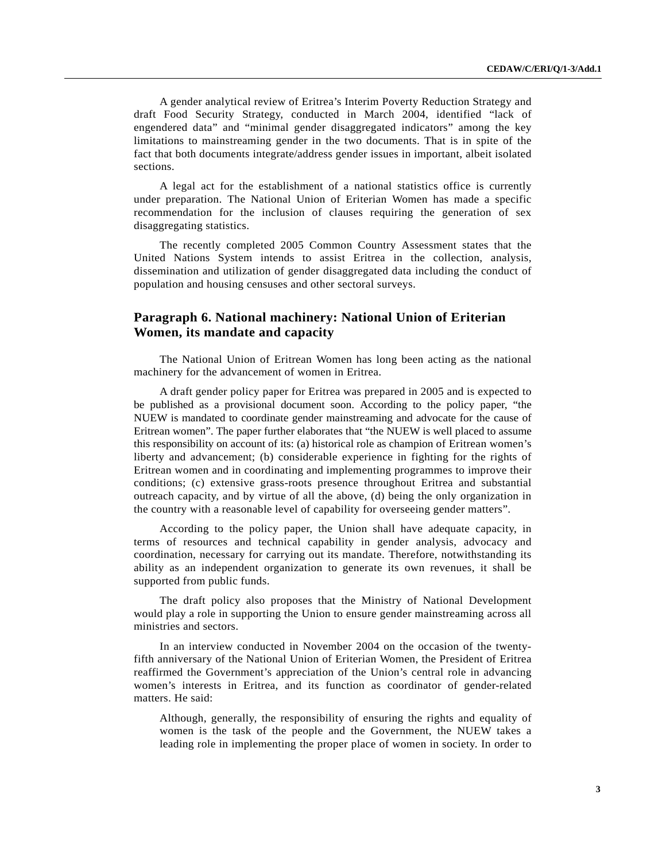A gender analytical review of Eritrea's Interim Poverty Reduction Strategy and draft Food Security Strategy, conducted in March 2004, identified "lack of engendered data" and "minimal gender disaggregated indicators" among the key limitations to mainstreaming gender in the two documents. That is in spite of the fact that both documents integrate/address gender issues in important, albeit isolated sections.

A legal act for the establishment of a national statistics office is currently under preparation. The National Union of Eriterian Women has made a specific recommendation for the inclusion of clauses requiring the generation of sex disaggregating statistics.

The recently completed 2005 Common Country Assessment states that the United Nations System intends to assist Eritrea in the collection, analysis, dissemination and utilization of gender disaggregated data including the conduct of population and housing censuses and other sectoral surveys.

## **Paragraph 6. National machinery: National Union of Eriterian Women, its mandate and capacity**

The National Union of Eritrean Women has long been acting as the national machinery for the advancement of women in Eritrea.

A draft gender policy paper for Eritrea was prepared in 2005 and is expected to be published as a provisional document soon. According to the policy paper, "the NUEW is mandated to coordinate gender mainstreaming and advocate for the cause of Eritrean women". The paper further elaborates that "the NUEW is well placed to assume this responsibility on account of its: (a) historical role as champion of Eritrean women's liberty and advancement; (b) considerable experience in fighting for the rights of Eritrean women and in coordinating and implementing programmes to improve their conditions; (c) extensive grass-roots presence throughout Eritrea and substantial outreach capacity, and by virtue of all the above, (d) being the only organization in the country with a reasonable level of capability for overseeing gender matters".

According to the policy paper, the Union shall have adequate capacity, in terms of resources and technical capability in gender analysis, advocacy and coordination, necessary for carrying out its mandate. Therefore, notwithstanding its ability as an independent organization to generate its own revenues, it shall be supported from public funds.

The draft policy also proposes that the Ministry of National Development would play a role in supporting the Union to ensure gender mainstreaming across all ministries and sectors.

In an interview conducted in November 2004 on the occasion of the twentyfifth anniversary of the National Union of Eriterian Women, the President of Eritrea reaffirmed the Government's appreciation of the Union's central role in advancing women's interests in Eritrea, and its function as coordinator of gender-related matters. He said:

Although, generally, the responsibility of ensuring the rights and equality of women is the task of the people and the Government, the NUEW takes a leading role in implementing the proper place of women in society. In order to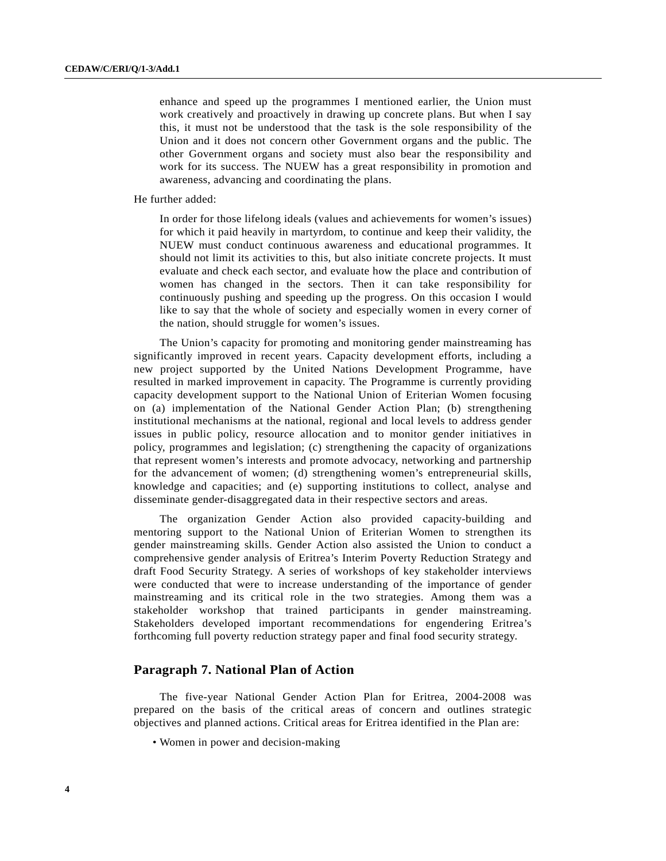enhance and speed up the programmes I mentioned earlier, the Union must work creatively and proactively in drawing up concrete plans. But when I say this, it must not be understood that the task is the sole responsibility of the Union and it does not concern other Government organs and the public. The other Government organs and society must also bear the responsibility and work for its success. The NUEW has a great responsibility in promotion and awareness, advancing and coordinating the plans.

He further added:

In order for those lifelong ideals (values and achievements for women's issues) for which it paid heavily in martyrdom, to continue and keep their validity, the NUEW must conduct continuous awareness and educational programmes. It should not limit its activities to this, but also initiate concrete projects. It must evaluate and check each sector, and evaluate how the place and contribution of women has changed in the sectors. Then it can take responsibility for continuously pushing and speeding up the progress. On this occasion I would like to say that the whole of society and especially women in every corner of the nation, should struggle for women's issues.

The Union's capacity for promoting and monitoring gender mainstreaming has significantly improved in recent years. Capacity development efforts, including a new project supported by the United Nations Development Programme, have resulted in marked improvement in capacity. The Programme is currently providing capacity development support to the National Union of Eriterian Women focusing on (a) implementation of the National Gender Action Plan; (b) strengthening institutional mechanisms at the national, regional and local levels to address gender issues in public policy, resource allocation and to monitor gender initiatives in policy, programmes and legislation; (c) strengthening the capacity of organizations that represent women's interests and promote advocacy, networking and partnership for the advancement of women; (d) strengthening women's entrepreneurial skills, knowledge and capacities; and (e) supporting institutions to collect, analyse and disseminate gender-disaggregated data in their respective sectors and areas.

The organization Gender Action also provided capacity-building and mentoring support to the National Union of Eriterian Women to strengthen its gender mainstreaming skills. Gender Action also assisted the Union to conduct a comprehensive gender analysis of Eritrea's Interim Poverty Reduction Strategy and draft Food Security Strategy. A series of workshops of key stakeholder interviews were conducted that were to increase understanding of the importance of gender mainstreaming and its critical role in the two strategies. Among them was a stakeholder workshop that trained participants in gender mainstreaming. Stakeholders developed important recommendations for engendering Eritrea's forthcoming full poverty reduction strategy paper and final food security strategy.

### **Paragraph 7. National Plan of Action**

The five-year National Gender Action Plan for Eritrea, 2004-2008 was prepared on the basis of the critical areas of concern and outlines strategic objectives and planned actions. Critical areas for Eritrea identified in the Plan are:

• Women in power and decision-making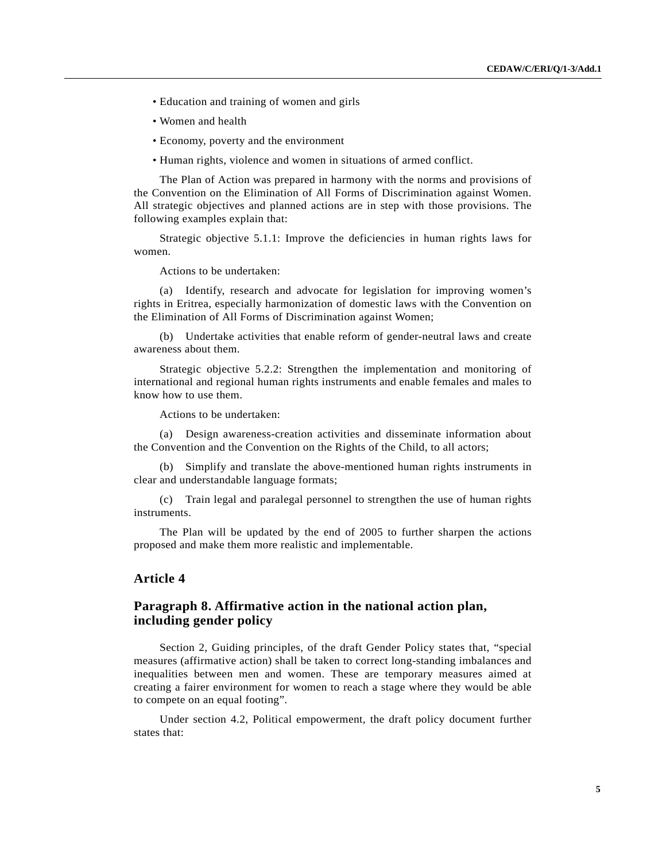- Education and training of women and girls
- Women and health
- Economy, poverty and the environment
- Human rights, violence and women in situations of armed conflict.

The Plan of Action was prepared in harmony with the norms and provisions of the Convention on the Elimination of All Forms of Discrimination against Women. All strategic objectives and planned actions are in step with those provisions. The following examples explain that:

Strategic objective 5.1.1: Improve the deficiencies in human rights laws for women.

Actions to be undertaken:

(a) Identify, research and advocate for legislation for improving women's rights in Eritrea, especially harmonization of domestic laws with the Convention on the Elimination of All Forms of Discrimination against Women;

(b) Undertake activities that enable reform of gender-neutral laws and create awareness about them.

Strategic objective 5.2.2: Strengthen the implementation and monitoring of international and regional human rights instruments and enable females and males to know how to use them.

Actions to be undertaken:

(a) Design awareness-creation activities and disseminate information about the Convention and the Convention on the Rights of the Child, to all actors;

(b) Simplify and translate the above-mentioned human rights instruments in clear and understandable language formats;

(c) Train legal and paralegal personnel to strengthen the use of human rights instruments.

The Plan will be updated by the end of 2005 to further sharpen the actions proposed and make them more realistic and implementable.

### **Article 4**

### **Paragraph 8. Affirmative action in the national action plan, including gender policy**

Section 2, Guiding principles, of the draft Gender Policy states that, "special measures (affirmative action) shall be taken to correct long-standing imbalances and inequalities between men and women. These are temporary measures aimed at creating a fairer environment for women to reach a stage where they would be able to compete on an equal footing".

Under section 4.2, Political empowerment, the draft policy document further states that: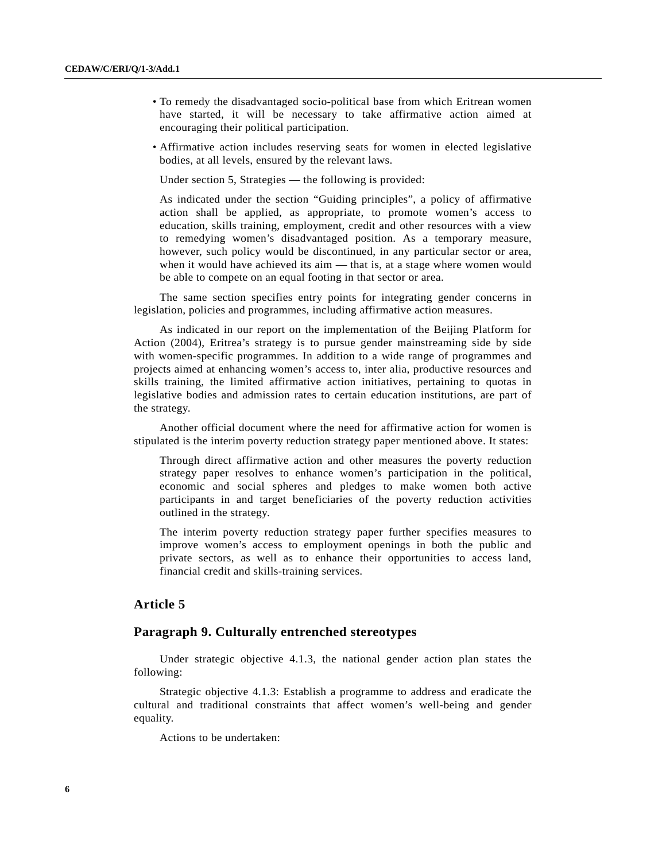- To remedy the disadvantaged socio-political base from which Eritrean women have started, it will be necessary to take affirmative action aimed at encouraging their political participation.
- Affirmative action includes reserving seats for women in elected legislative bodies, at all levels, ensured by the relevant laws.

Under section 5, Strategies — the following is provided:

As indicated under the section "Guiding principles", a policy of affirmative action shall be applied, as appropriate, to promote women's access to education, skills training, employment, credit and other resources with a view to remedying women's disadvantaged position. As a temporary measure, however, such policy would be discontinued, in any particular sector or area, when it would have achieved its aim — that is, at a stage where women would be able to compete on an equal footing in that sector or area.

The same section specifies entry points for integrating gender concerns in legislation, policies and programmes, including affirmative action measures.

As indicated in our report on the implementation of the Beijing Platform for Action (2004), Eritrea's strategy is to pursue gender mainstreaming side by side with women-specific programmes. In addition to a wide range of programmes and projects aimed at enhancing women's access to, inter alia, productive resources and skills training, the limited affirmative action initiatives, pertaining to quotas in legislative bodies and admission rates to certain education institutions, are part of the strategy.

Another official document where the need for affirmative action for women is stipulated is the interim poverty reduction strategy paper mentioned above. It states:

Through direct affirmative action and other measures the poverty reduction strategy paper resolves to enhance women's participation in the political, economic and social spheres and pledges to make women both active participants in and target beneficiaries of the poverty reduction activities outlined in the strategy.

The interim poverty reduction strategy paper further specifies measures to improve women's access to employment openings in both the public and private sectors, as well as to enhance their opportunities to access land, financial credit and skills-training services.

### **Article 5**

#### **Paragraph 9. Culturally entrenched stereotypes**

Under strategic objective 4.1.3, the national gender action plan states the following:

Strategic objective 4.1.3: Establish a programme to address and eradicate the cultural and traditional constraints that affect women's well-being and gender equality.

Actions to be undertaken: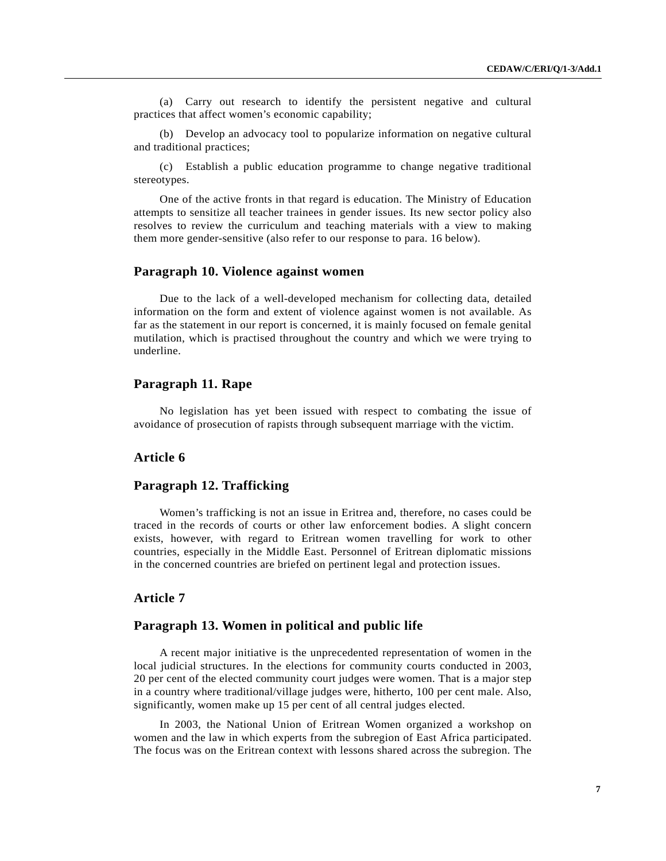(a) Carry out research to identify the persistent negative and cultural practices that affect women's economic capability;

(b) Develop an advocacy tool to popularize information on negative cultural and traditional practices;

(c) Establish a public education programme to change negative traditional stereotypes.

One of the active fronts in that regard is education. The Ministry of Education attempts to sensitize all teacher trainees in gender issues. Its new sector policy also resolves to review the curriculum and teaching materials with a view to making them more gender-sensitive (also refer to our response to para. 16 below).

#### **Paragraph 10. Violence against women**

Due to the lack of a well-developed mechanism for collecting data, detailed information on the form and extent of violence against women is not available. As far as the statement in our report is concerned, it is mainly focused on female genital mutilation, which is practised throughout the country and which we were trying to underline.

#### **Paragraph 11. Rape**

No legislation has yet been issued with respect to combating the issue of avoidance of prosecution of rapists through subsequent marriage with the victim.

#### **Article 6**

#### **Paragraph 12. Trafficking**

Women's trafficking is not an issue in Eritrea and, therefore, no cases could be traced in the records of courts or other law enforcement bodies. A slight concern exists, however, with regard to Eritrean women travelling for work to other countries, especially in the Middle East. Personnel of Eritrean diplomatic missions in the concerned countries are briefed on pertinent legal and protection issues.

### **Article 7**

#### **Paragraph 13. Women in political and public life**

A recent major initiative is the unprecedented representation of women in the local judicial structures. In the elections for community courts conducted in 2003, 20 per cent of the elected community court judges were women. That is a major step in a country where traditional/village judges were, hitherto, 100 per cent male. Also, significantly, women make up 15 per cent of all central judges elected.

In 2003, the National Union of Eritrean Women organized a workshop on women and the law in which experts from the subregion of East Africa participated. The focus was on the Eritrean context with lessons shared across the subregion. The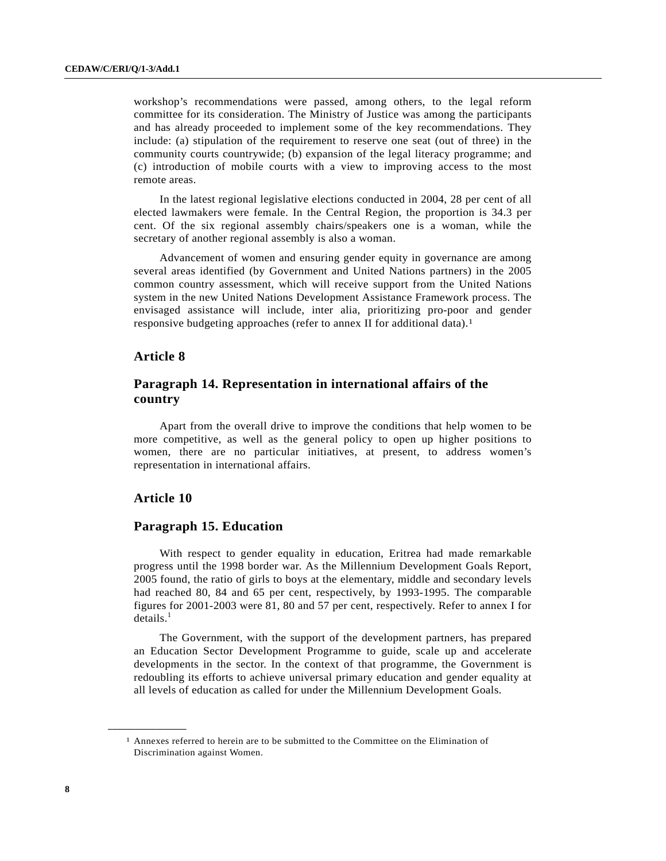workshop's recommendations were passed, among others, to the legal reform committee for its consideration. The Ministry of Justice was among the participants and has already proceeded to implement some of the key recommendations. They include: (a) stipulation of the requirement to reserve one seat (out of three) in the community courts countrywide; (b) expansion of the legal literacy programme; and (c) introduction of mobile courts with a view to improving access to the most remote areas.

In the latest regional legislative elections conducted in 2004, 28 per cent of all elected lawmakers were female. In the Central Region, the proportion is 34.3 per cent. Of the six regional assembly chairs/speakers one is a woman, while the secretary of another regional assembly is also a woman.

Advancement of women and ensuring gender equity in governance are among several areas identified (by Government and United Nations partners) in the 2005 common country assessment, which will receive support from the United Nations system in the new United Nations Development Assistance Framework process. The envisaged assistance will include, inter alia, prioritizing pro-poor and gender responsive budgeting approaches (refer to annex II for additional data).1

### **Article 8**

### **Paragraph 14. Representation in international affairs of the country**

Apart from the overall drive to improve the conditions that help women to be more competitive, as well as the general policy to open up higher positions to women, there are no particular initiatives, at present, to address women's representation in international affairs.

### **Article 10**

**\_\_\_\_\_\_\_\_\_\_\_\_\_\_\_\_\_\_**

#### **Paragraph 15. Education**

With respect to gender equality in education, Eritrea had made remarkable progress until the 1998 border war. As the Millennium Development Goals Report, 2005 found, the ratio of girls to boys at the elementary, middle and secondary levels had reached 80, 84 and 65 per cent, respectively, by 1993-1995. The comparable figures for 2001-2003 were 81, 80 and 57 per cent, respectively. Refer to annex I for  $details<sup>1</sup>$ 

The Government, with the support of the development partners, has prepared an Education Sector Development Programme to guide, scale up and accelerate developments in the sector. In the context of that programme, the Government is redoubling its efforts to achieve universal primary education and gender equality at all levels of education as called for under the Millennium Development Goals.

<sup>1</sup> Annexes referred to herein are to be submitted to the Committee on the Elimination of Discrimination against Women.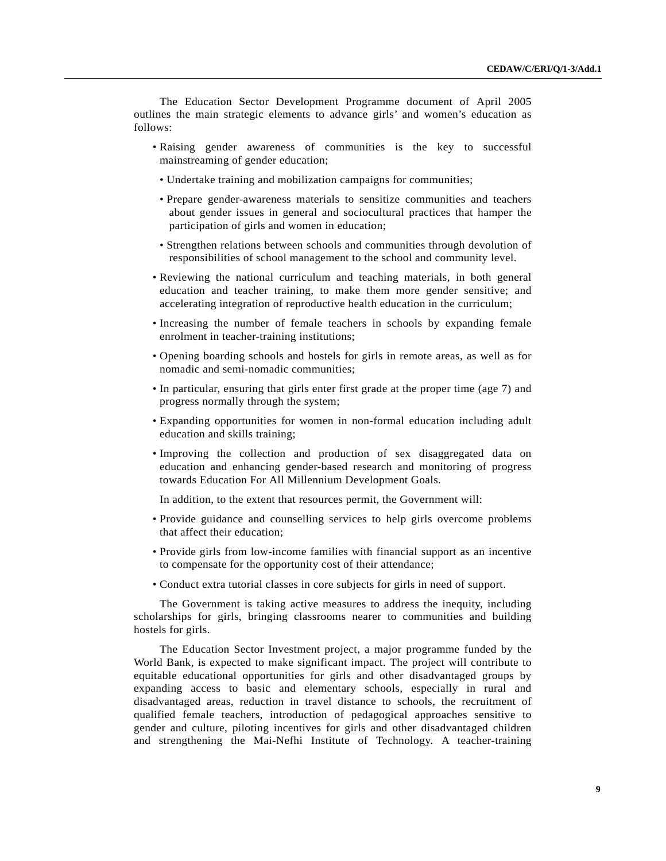The Education Sector Development Programme document of April 2005 outlines the main strategic elements to advance girls' and women's education as follows:

- Raising gender awareness of communities is the key to successful mainstreaming of gender education;
	- Undertake training and mobilization campaigns for communities;
	- Prepare gender-awareness materials to sensitize communities and teachers about gender issues in general and sociocultural practices that hamper the participation of girls and women in education;
	- Strengthen relations between schools and communities through devolution of responsibilities of school management to the school and community level.
- Reviewing the national curriculum and teaching materials, in both general education and teacher training, to make them more gender sensitive; and accelerating integration of reproductive health education in the curriculum;
- Increasing the number of female teachers in schools by expanding female enrolment in teacher-training institutions;
- Opening boarding schools and hostels for girls in remote areas, as well as for nomadic and semi-nomadic communities;
- In particular, ensuring that girls enter first grade at the proper time (age 7) and progress normally through the system;
- Expanding opportunities for women in non-formal education including adult education and skills training;
- Improving the collection and production of sex disaggregated data on education and enhancing gender-based research and monitoring of progress towards Education For All Millennium Development Goals.

In addition, to the extent that resources permit, the Government will:

- Provide guidance and counselling services to help girls overcome problems that affect their education;
- Provide girls from low-income families with financial support as an incentive to compensate for the opportunity cost of their attendance;
- Conduct extra tutorial classes in core subjects for girls in need of support.

The Government is taking active measures to address the inequity, including scholarships for girls, bringing classrooms nearer to communities and building hostels for girls.

The Education Sector Investment project, a major programme funded by the World Bank, is expected to make significant impact. The project will contribute to equitable educational opportunities for girls and other disadvantaged groups by expanding access to basic and elementary schools, especially in rural and disadvantaged areas, reduction in travel distance to schools, the recruitment of qualified female teachers, introduction of pedagogical approaches sensitive to gender and culture, piloting incentives for girls and other disadvantaged children and strengthening the Mai-Nefhi Institute of Technology. A teacher-training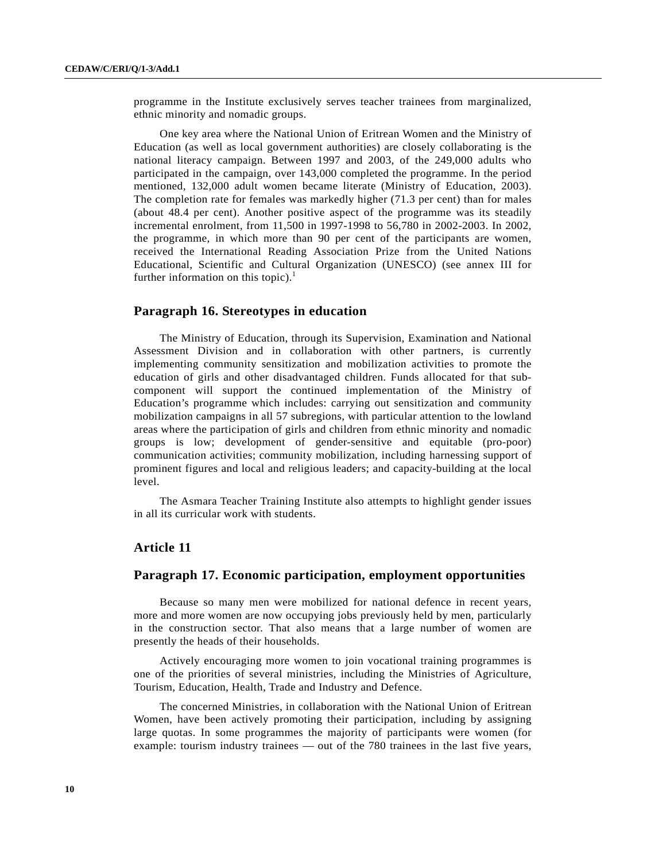programme in the Institute exclusively serves teacher trainees from marginalized, ethnic minority and nomadic groups.

One key area where the National Union of Eritrean Women and the Ministry of Education (as well as local government authorities) are closely collaborating is the national literacy campaign. Between 1997 and 2003, of the 249,000 adults who participated in the campaign, over 143,000 completed the programme. In the period mentioned, 132,000 adult women became literate (Ministry of Education, 2003). The completion rate for females was markedly higher (71.3 per cent) than for males (about 48.4 per cent). Another positive aspect of the programme was its steadily incremental enrolment, from 11,500 in 1997-1998 to 56,780 in 2002-2003. In 2002, the programme, in which more than 90 per cent of the participants are women, received the International Reading Association Prize from the United Nations Educational, Scientific and Cultural Organization (UNESCO) (see annex III for further information on this topic). $<sup>1</sup>$ </sup>

### **Paragraph 16. Stereotypes in education**

The Ministry of Education, through its Supervision, Examination and National Assessment Division and in collaboration with other partners, is currently implementing community sensitization and mobilization activities to promote the education of girls and other disadvantaged children. Funds allocated for that subcomponent will support the continued implementation of the Ministry of Education's programme which includes: carrying out sensitization and community mobilization campaigns in all 57 subregions, with particular attention to the lowland areas where the participation of girls and children from ethnic minority and nomadic groups is low; development of gender-sensitive and equitable (pro-poor) communication activities; community mobilization, including harnessing support of prominent figures and local and religious leaders; and capacity-building at the local level.

The Asmara Teacher Training Institute also attempts to highlight gender issues in all its curricular work with students.

### **Article 11**

#### **Paragraph 17. Economic participation, employment opportunities**

Because so many men were mobilized for national defence in recent years, more and more women are now occupying jobs previously held by men, particularly in the construction sector. That also means that a large number of women are presently the heads of their households.

Actively encouraging more women to join vocational training programmes is one of the priorities of several ministries, including the Ministries of Agriculture, Tourism, Education, Health, Trade and Industry and Defence.

The concerned Ministries, in collaboration with the National Union of Eritrean Women, have been actively promoting their participation, including by assigning large quotas. In some programmes the majority of participants were women (for example: tourism industry trainees — out of the 780 trainees in the last five years,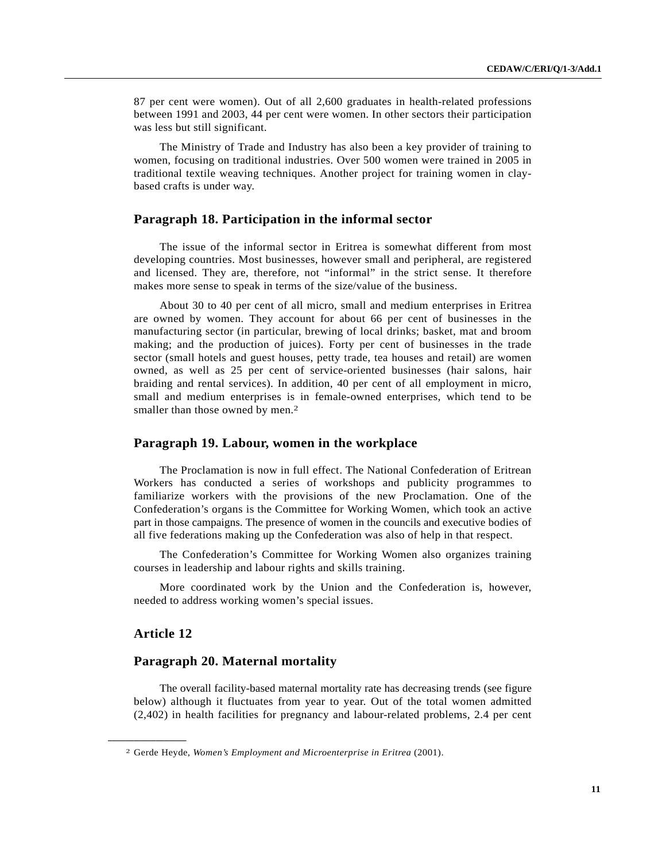87 per cent were women). Out of all 2,600 graduates in health-related professions between 1991 and 2003, 44 per cent were women. In other sectors their participation was less but still significant.

The Ministry of Trade and Industry has also been a key provider of training to women, focusing on traditional industries. Over 500 women were trained in 2005 in traditional textile weaving techniques. Another project for training women in claybased crafts is under way.

#### **Paragraph 18. Participation in the informal sector**

The issue of the informal sector in Eritrea is somewhat different from most developing countries. Most businesses, however small and peripheral, are registered and licensed. They are, therefore, not "informal" in the strict sense. It therefore makes more sense to speak in terms of the size/value of the business.

About 30 to 40 per cent of all micro, small and medium enterprises in Eritrea are owned by women. They account for about 66 per cent of businesses in the manufacturing sector (in particular, brewing of local drinks; basket, mat and broom making; and the production of juices). Forty per cent of businesses in the trade sector (small hotels and guest houses, petty trade, tea houses and retail) are women owned, as well as 25 per cent of service-oriented businesses (hair salons, hair braiding and rental services). In addition, 40 per cent of all employment in micro, small and medium enterprises is in female-owned enterprises, which tend to be smaller than those owned by men.<sup>2</sup>

#### **Paragraph 19. Labour, women in the workplace**

The Proclamation is now in full effect. The National Confederation of Eritrean Workers has conducted a series of workshops and publicity programmes to familiarize workers with the provisions of the new Proclamation. One of the Confederation's organs is the Committee for Working Women, which took an active part in those campaigns. The presence of women in the councils and executive bodies of all five federations making up the Confederation was also of help in that respect.

The Confederation's Committee for Working Women also organizes training courses in leadership and labour rights and skills training.

More coordinated work by the Union and the Confederation is, however, needed to address working women's special issues.

### **Article 12**

**\_\_\_\_\_\_\_\_\_\_\_\_\_\_\_\_\_\_**

#### **Paragraph 20. Maternal mortality**

The overall facility-based maternal mortality rate has decreasing trends (see figure below) although it fluctuates from year to year. Out of the total women admitted (2,402) in health facilities for pregnancy and labour-related problems, 2.4 per cent

<sup>2</sup> Gerde Heyde, *Women's Employment and Microenterprise in Eritrea* (2001).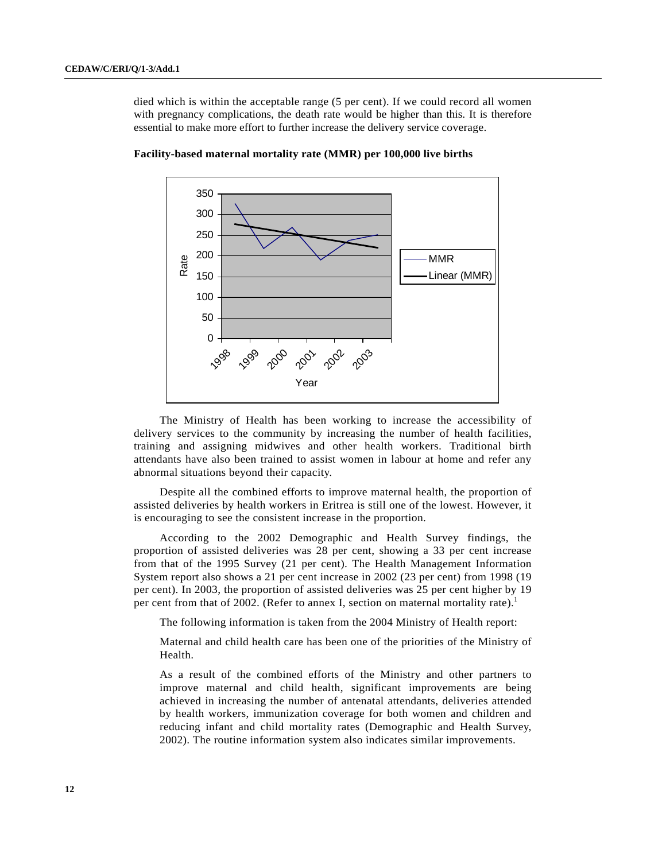died which is within the acceptable range (5 per cent). If we could record all women with pregnancy complications, the death rate would be higher than this. It is therefore essential to make more effort to further increase the delivery service coverage.



**Facility-based maternal mortality rate (MMR) per 100,000 live births**

The Ministry of Health has been working to increase the accessibility of delivery services to the community by increasing the number of health facilities, training and assigning midwives and other health workers. Traditional birth attendants have also been trained to assist women in labour at home and refer any abnormal situations beyond their capacity.

Despite all the combined efforts to improve maternal health, the proportion of assisted deliveries by health workers in Eritrea is still one of the lowest. However, it is encouraging to see the consistent increase in the proportion.

According to the 2002 Demographic and Health Survey findings, the proportion of assisted deliveries was 28 per cent, showing a 33 per cent increase from that of the 1995 Survey (21 per cent). The Health Management Information System report also shows a 21 per cent increase in 2002 (23 per cent) from 1998 (19 per cent). In 2003, the proportion of assisted deliveries was 25 per cent higher by 19 per cent from that of 2002. (Refer to annex I, section on maternal mortality rate).<sup>1</sup>

The following information is taken from the 2004 Ministry of Health report:

Maternal and child health care has been one of the priorities of the Ministry of Health.

As a result of the combined efforts of the Ministry and other partners to improve maternal and child health, significant improvements are being achieved in increasing the number of antenatal attendants, deliveries attended by health workers, immunization coverage for both women and children and reducing infant and child mortality rates (Demographic and Health Survey, 2002). The routine information system also indicates similar improvements.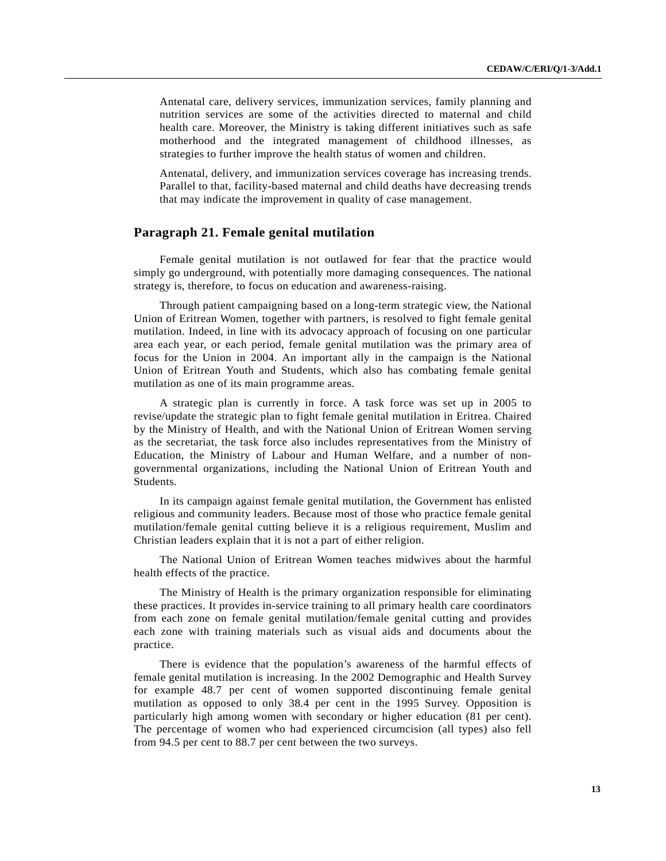Antenatal care, delivery services, immunization services, family planning and nutrition services are some of the activities directed to maternal and child health care. Moreover, the Ministry is taking different initiatives such as safe motherhood and the integrated management of childhood illnesses, as strategies to further improve the health status of women and children.

Antenatal, delivery, and immunization services coverage has increasing trends. Parallel to that, facility-based maternal and child deaths have decreasing trends that may indicate the improvement in quality of case management.

#### **Paragraph 21. Female genital mutilation**

Female genital mutilation is not outlawed for fear that the practice would simply go underground, with potentially more damaging consequences. The national strategy is, therefore, to focus on education and awareness-raising.

Through patient campaigning based on a long-term strategic view, the National Union of Eritrean Women, together with partners, is resolved to fight female genital mutilation. Indeed, in line with its advocacy approach of focusing on one particular area each year, or each period, female genital mutilation was the primary area of focus for the Union in 2004. An important ally in the campaign is the National Union of Eritrean Youth and Students, which also has combating female genital mutilation as one of its main programme areas.

A strategic plan is currently in force. A task force was set up in 2005 to revise/update the strategic plan to fight female genital mutilation in Eritrea. Chaired by the Ministry of Health, and with the National Union of Eritrean Women serving as the secretariat, the task force also includes representatives from the Ministry of Education, the Ministry of Labour and Human Welfare, and a number of nongovernmental organizations, including the National Union of Eritrean Youth and Students.

In its campaign against female genital mutilation, the Government has enlisted religious and community leaders. Because most of those who practice female genital mutilation/female genital cutting believe it is a religious requirement, Muslim and Christian leaders explain that it is not a part of either religion.

The National Union of Eritrean Women teaches midwives about the harmful health effects of the practice.

The Ministry of Health is the primary organization responsible for eliminating these practices. It provides in-service training to all primary health care coordinators from each zone on female genital mutilation/female genital cutting and provides each zone with training materials such as visual aids and documents about the practice.

There is evidence that the population's awareness of the harmful effects of female genital mutilation is increasing. In the 2002 Demographic and Health Survey for example 48.7 per cent of women supported discontinuing female genital mutilation as opposed to only 38.4 per cent in the 1995 Survey. Opposition is particularly high among women with secondary or higher education (81 per cent). The percentage of women who had experienced circumcision (all types) also fell from 94.5 per cent to 88.7 per cent between the two surveys.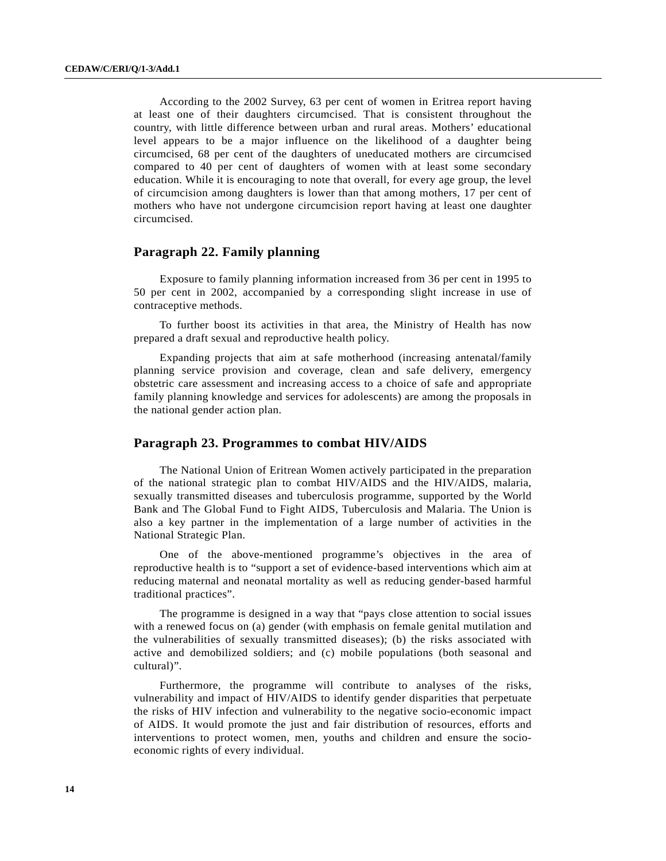According to the 2002 Survey, 63 per cent of women in Eritrea report having at least one of their daughters circumcised. That is consistent throughout the country, with little difference between urban and rural areas. Mothers' educational level appears to be a major influence on the likelihood of a daughter being circumcised, 68 per cent of the daughters of uneducated mothers are circumcised compared to 40 per cent of daughters of women with at least some secondary education. While it is encouraging to note that overall, for every age group, the level of circumcision among daughters is lower than that among mothers, 17 per cent of mothers who have not undergone circumcision report having at least one daughter circumcised.

### **Paragraph 22. Family planning**

Exposure to family planning information increased from 36 per cent in 1995 to 50 per cent in 2002, accompanied by a corresponding slight increase in use of contraceptive methods.

To further boost its activities in that area, the Ministry of Health has now prepared a draft sexual and reproductive health policy.

Expanding projects that aim at safe motherhood (increasing antenatal/family planning service provision and coverage, clean and safe delivery, emergency obstetric care assessment and increasing access to a choice of safe and appropriate family planning knowledge and services for adolescents) are among the proposals in the national gender action plan.

### **Paragraph 23. Programmes to combat HIV/AIDS**

The National Union of Eritrean Women actively participated in the preparation of the national strategic plan to combat HIV/AIDS and the HIV/AIDS, malaria, sexually transmitted diseases and tuberculosis programme, supported by the World Bank and The Global Fund to Fight AIDS, Tuberculosis and Malaria. The Union is also a key partner in the implementation of a large number of activities in the National Strategic Plan.

One of the above-mentioned programme's objectives in the area of reproductive health is to "support a set of evidence-based interventions which aim at reducing maternal and neonatal mortality as well as reducing gender-based harmful traditional practices".

The programme is designed in a way that "pays close attention to social issues with a renewed focus on (a) gender (with emphasis on female genital mutilation and the vulnerabilities of sexually transmitted diseases); (b) the risks associated with active and demobilized soldiers; and (c) mobile populations (both seasonal and cultural)".

Furthermore, the programme will contribute to analyses of the risks, vulnerability and impact of HIV/AIDS to identify gender disparities that perpetuate the risks of HIV infection and vulnerability to the negative socio-economic impact of AIDS. It would promote the just and fair distribution of resources, efforts and interventions to protect women, men, youths and children and ensure the socioeconomic rights of every individual.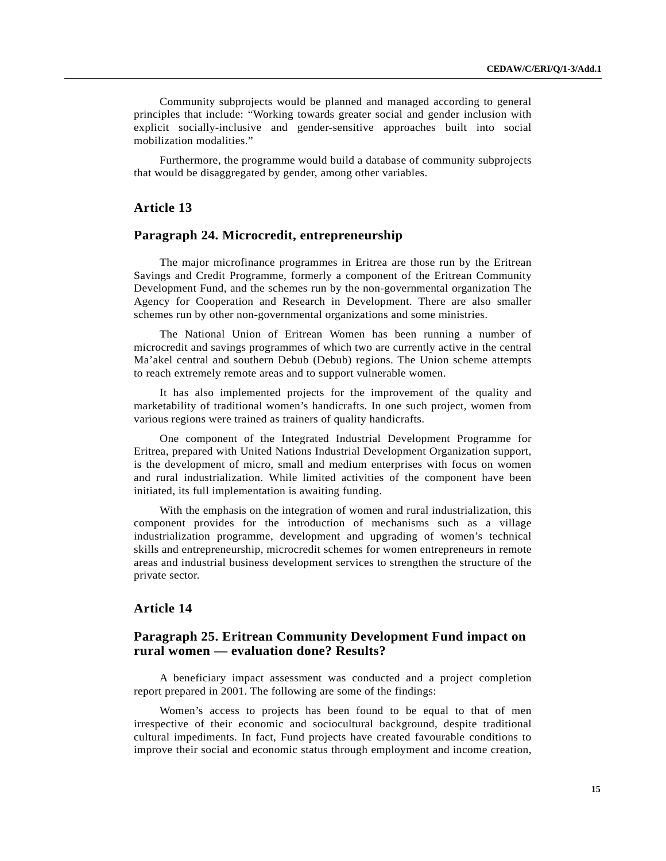Community subprojects would be planned and managed according to general principles that include: "Working towards greater social and gender inclusion with explicit socially-inclusive and gender-sensitive approaches built into social mobilization modalities."

Furthermore, the programme would build a database of community subprojects that would be disaggregated by gender, among other variables.

#### **Article 13**

#### **Paragraph 24. Microcredit, entrepreneurship**

The major microfinance programmes in Eritrea are those run by the Eritrean Savings and Credit Programme, formerly a component of the Eritrean Community Development Fund, and the schemes run by the non-governmental organization The Agency for Cooperation and Research in Development. There are also smaller schemes run by other non-governmental organizations and some ministries.

The National Union of Eritrean Women has been running a number of microcredit and savings programmes of which two are currently active in the central Ma'akel central and southern Debub (Debub) regions. The Union scheme attempts to reach extremely remote areas and to support vulnerable women.

It has also implemented projects for the improvement of the quality and marketability of traditional women's handicrafts. In one such project, women from various regions were trained as trainers of quality handicrafts.

One component of the Integrated Industrial Development Programme for Eritrea, prepared with United Nations Industrial Development Organization support, is the development of micro, small and medium enterprises with focus on women and rural industrialization. While limited activities of the component have been initiated, its full implementation is awaiting funding.

With the emphasis on the integration of women and rural industrialization, this component provides for the introduction of mechanisms such as a village industrialization programme, development and upgrading of women's technical skills and entrepreneurship, microcredit schemes for women entrepreneurs in remote areas and industrial business development services to strengthen the structure of the private sector.

### **Article 14**

### **Paragraph 25. Eritrean Community Development Fund impact on rural women — evaluation done? Results?**

A beneficiary impact assessment was conducted and a project completion report prepared in 2001. The following are some of the findings:

Women's access to projects has been found to be equal to that of men irrespective of their economic and sociocultural background, despite traditional cultural impediments. In fact, Fund projects have created favourable conditions to improve their social and economic status through employment and income creation,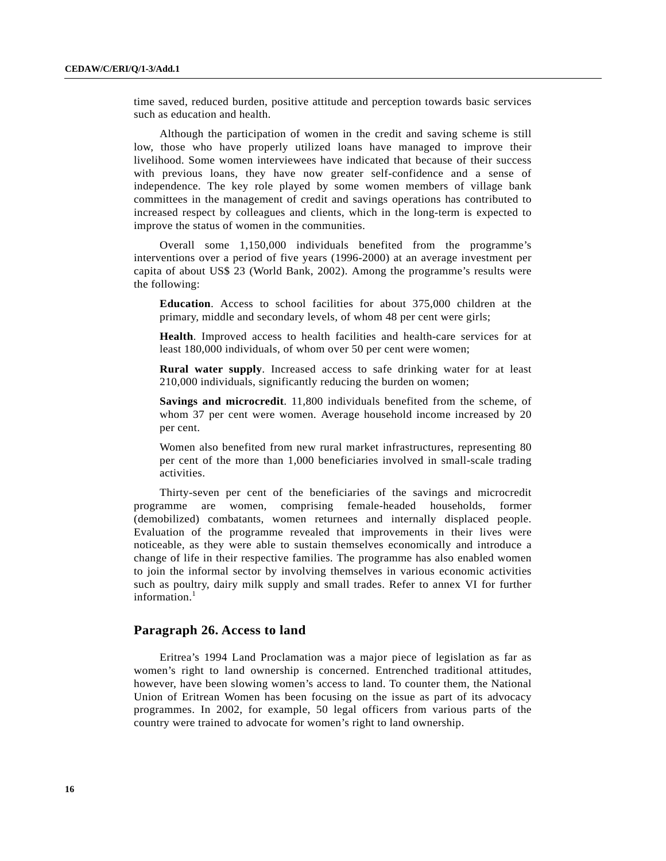time saved, reduced burden, positive attitude and perception towards basic services such as education and health.

Although the participation of women in the credit and saving scheme is still low, those who have properly utilized loans have managed to improve their livelihood. Some women interviewees have indicated that because of their success with previous loans, they have now greater self-confidence and a sense of independence. The key role played by some women members of village bank committees in the management of credit and savings operations has contributed to increased respect by colleagues and clients, which in the long-term is expected to improve the status of women in the communities.

Overall some 1,150,000 individuals benefited from the programme's interventions over a period of five years (1996-2000) at an average investment per capita of about US\$ 23 (World Bank, 2002). Among the programme's results were the following:

**Education**. Access to school facilities for about 375,000 children at the primary, middle and secondary levels, of whom 48 per cent were girls;

**Health**. Improved access to health facilities and health-care services for at least 180,000 individuals, of whom over 50 per cent were women;

**Rural water supply**. Increased access to safe drinking water for at least 210,000 individuals, significantly reducing the burden on women;

**Savings and microcredit**. 11,800 individuals benefited from the scheme, of whom 37 per cent were women. Average household income increased by 20 per cent.

Women also benefited from new rural market infrastructures, representing 80 per cent of the more than 1,000 beneficiaries involved in small-scale trading activities.

Thirty-seven per cent of the beneficiaries of the savings and microcredit programme are women, comprising female-headed households, former (demobilized) combatants, women returnees and internally displaced people. Evaluation of the programme revealed that improvements in their lives were noticeable, as they were able to sustain themselves economically and introduce a change of life in their respective families. The programme has also enabled women to join the informal sector by involving themselves in various economic activities such as poultry, dairy milk supply and small trades. Refer to annex VI for further information. $<sup>1</sup>$ </sup>

#### **Paragraph 26. Access to land**

Eritrea's 1994 Land Proclamation was a major piece of legislation as far as women's right to land ownership is concerned. Entrenched traditional attitudes, however, have been slowing women's access to land. To counter them, the National Union of Eritrean Women has been focusing on the issue as part of its advocacy programmes. In 2002, for example, 50 legal officers from various parts of the country were trained to advocate for women's right to land ownership.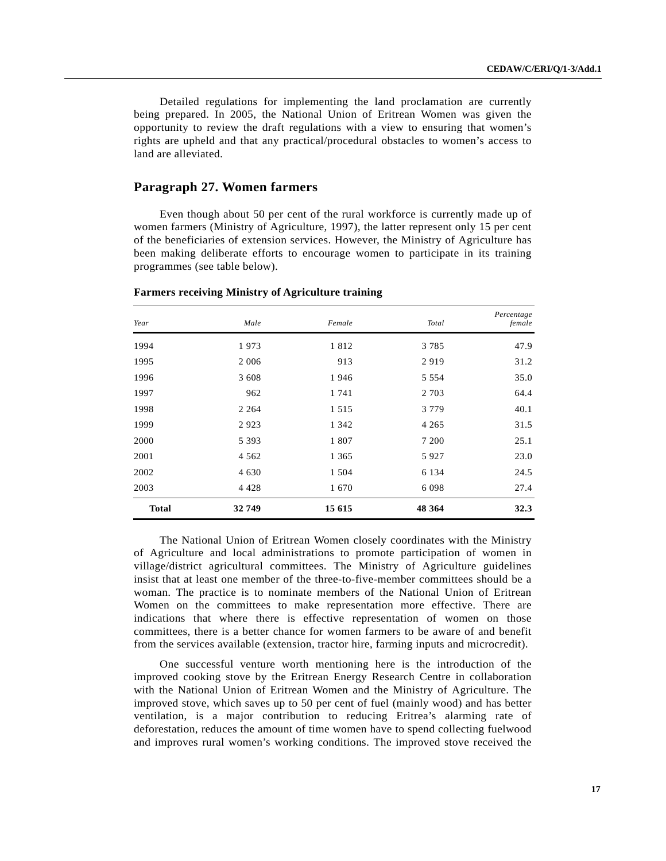Detailed regulations for implementing the land proclamation are currently being prepared. In 2005, the National Union of Eritrean Women was given the opportunity to review the draft regulations with a view to ensuring that women's rights are upheld and that any practical/procedural obstacles to women's access to land are alleviated.

#### **Paragraph 27. Women farmers**

Even though about 50 per cent of the rural workforce is currently made up of women farmers (Ministry of Agriculture, 1997), the latter represent only 15 per cent of the beneficiaries of extension services. However, the Ministry of Agriculture has been making deliberate efforts to encourage women to participate in its training programmes (see table below).

| Year         | Male    | Female  | Total   | Percentage<br>female |
|--------------|---------|---------|---------|----------------------|
| 1994         | 1973    | 1812    | 3785    | 47.9                 |
| 1995         | 2 0 0 6 | 913     | 2919    | 31.2                 |
| 1996         | 3 608   | 1946    | 5 5 5 4 | 35.0                 |
| 1997         | 962     | 1 741   | 2 7 0 3 | 64.4                 |
| 1998         | 2 2 6 4 | 1 5 1 5 | 3 7 7 9 | 40.1                 |
| 1999         | 2923    | 1 3 4 2 | 4 2 6 5 | 31.5                 |
| 2000         | 5 3 9 3 | 1 807   | 7 200   | 25.1                 |
| 2001         | 4 5 6 2 | 1 3 6 5 | 5927    | 23.0                 |
| 2002         | 4 6 3 0 | 1 504   | 6 1 3 4 | 24.5                 |
| 2003         | 4 4 2 8 | 1670    | 6098    | 27.4                 |
| <b>Total</b> | 32749   | 15 615  | 48 364  | 32.3                 |

#### **Farmers receiving Ministry of Agriculture training**

The National Union of Eritrean Women closely coordinates with the Ministry of Agriculture and local administrations to promote participation of women in village/district agricultural committees. The Ministry of Agriculture guidelines insist that at least one member of the three-to-five-member committees should be a woman. The practice is to nominate members of the National Union of Eritrean Women on the committees to make representation more effective. There are indications that where there is effective representation of women on those committees, there is a better chance for women farmers to be aware of and benefit from the services available (extension, tractor hire, farming inputs and microcredit).

One successful venture worth mentioning here is the introduction of the improved cooking stove by the Eritrean Energy Research Centre in collaboration with the National Union of Eritrean Women and the Ministry of Agriculture. The improved stove, which saves up to 50 per cent of fuel (mainly wood) and has better ventilation, is a major contribution to reducing Eritrea's alarming rate of deforestation, reduces the amount of time women have to spend collecting fuelwood and improves rural women's working conditions. The improved stove received the